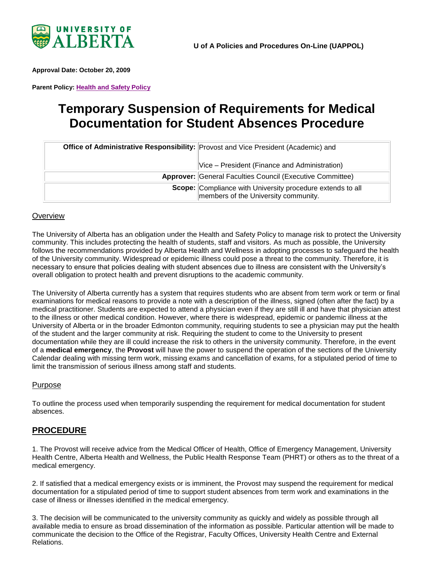

<span id="page-0-0"></span>**Approval Date: October 20, 2009**

**Parent Policy: [Health and Safety Policy](https://policiesonline.ualberta.ca/policiesprocedures/policies/health-and-safety-policy.pdf)**

# **Temporary Suspension of Requirements for Medical Documentation for Student Absences Procedure**

| Office of Administrative Responsibility: Provost and Vice President (Academic) and                        |
|-----------------------------------------------------------------------------------------------------------|
| Vice – President (Finance and Administration)                                                             |
| <b>Approver: General Faculties Council (Executive Committee)</b>                                          |
| <b>Scope:</b> Compliance with University procedure extends to all<br>members of the University community. |

### **Overview**

The University of Alberta has an obligation under the Health and Safety Policy to manage risk to protect the University community. This includes protecting the health of students, staff and visitors. As much as possible, the University follows the recommendations provided by Alberta Health and Wellness in adopting processes to safeguard the health of the University community. Widespread or epidemic illness could pose a threat to the community. Therefore, it is necessary to ensure that policies dealing with student absences due to illness are consistent with the University's overall obligation to protect health and prevent disruptions to the academic community.

The University of Alberta currently has a system that requires students who are absent from term work or term or final examinations for medical reasons to provide a note with a description of the illness, signed (often after the fact) by a medical practitioner. Students are expected to attend a physician even if they are still ill and have that physician attest to the illness or other medical condition. However, where there is widespread, epidemic or pandemic illness at the University of Alberta or in the broader Edmonton community, requiring students to see a physician may put the health of the student and the larger community at risk. Requiring the student to come to the University to present documentation while they are ill could increase the risk to others in the university community. Therefore, in the event of a **medical emergency**, the **Provost** will have the power to suspend the operation of the sections of the University Calendar dealing with missing term work, missing exams and cancellation of exams, for a stipulated period of time to limit the transmission of serious illness among staff and students.

### Purpose

To outline the process used when temporarily suspending the requirement for medical documentation for student absences.

## **PROCEDURE**

1. The Provost will receive advice from the Medical Officer of Health, Office of Emergency Management, University Health Centre, Alberta Health and Wellness, the Public Health Response Team (PHRT) or others as to the threat of a medical emergency.

2. If satisfied that a medical emergency exists or is imminent, the Provost may suspend the requirement for medical documentation for a stipulated period of time to support student absences from term work and examinations in the case of illness or illnesses identified in the medical emergency.

3. The decision will be communicated to the university community as quickly and widely as possible through all available media to ensure as broad dissemination of the information as possible. Particular attention will be made to communicate the decision to the Office of the Registrar, Faculty Offices, University Health Centre and External Relations.